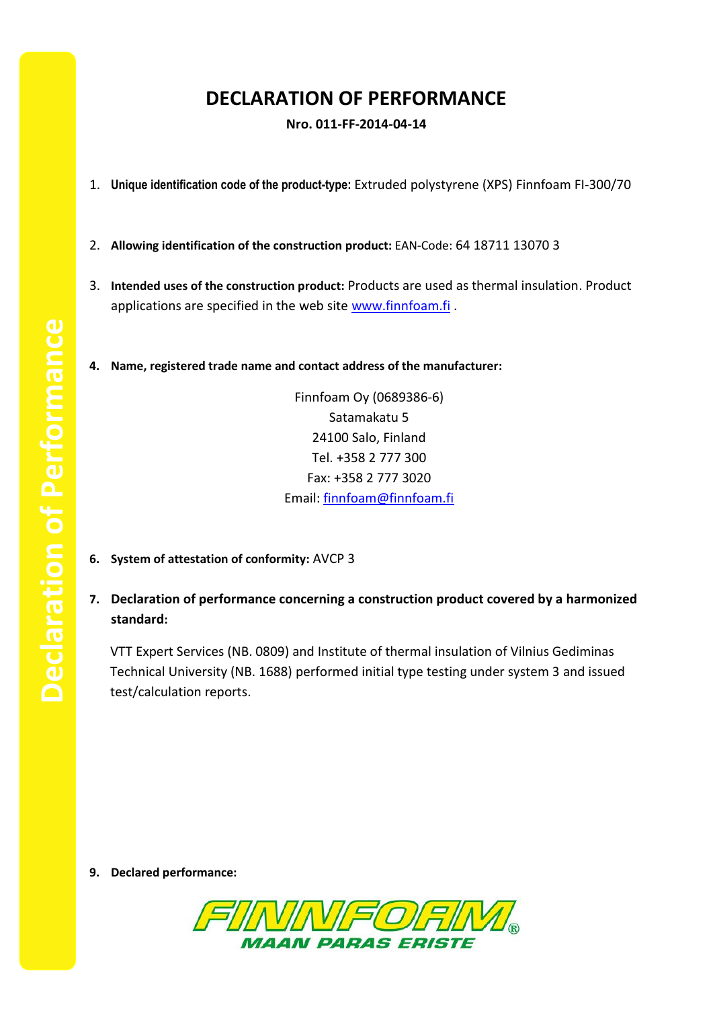## **DECLARATION OF PERFORMANCE**

**Nro. 011-FF-2014-04-14**

- 1. **Unique identification code of the product-type:** Extruded polystyrene (XPS) Finnfoam FI-300/70
- 2. **Allowing identification of the construction product:** EAN-Code: 64 18711 13070 3
- 3. **Intended uses of the construction product:** Products are used as thermal insulation. Product applications are specified in the web site [www.finnfoam.fi](http://www.finnfoam.fi/).
- **4. Name, registered trade name and contact address of the manufacturer:**

Finnfoam Oy (0689386-6) Satamakatu 5 24100 Salo, Finland Tel. +358 2 777 300 Fax: +358 2 777 3020 Email: [finnfoam@finnfoam.fi](mailto:finnfoam@finnfoam.fi)

- **6. System of attestation of conformity:** AVCP 3
- **7. Declaration of performance concerning a construction product covered by a harmonized standard:**

VTT Expert Services (NB. 0809) and Institute of thermal insulation of Vilnius Gediminas Technical University (NB. 1688) performed initial type testing under system 3 and issued test/calculation reports.

**9. Declared performance:**